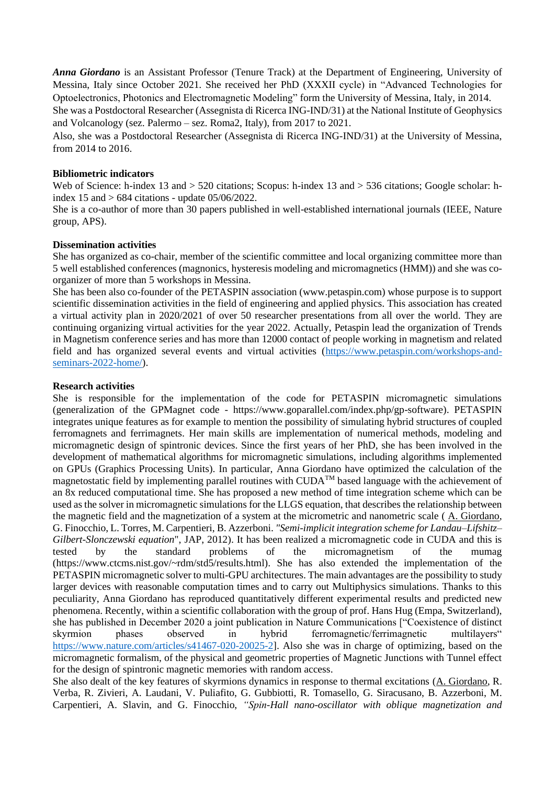*Anna Giordano* is an Assistant Professor (Tenure Track) at the Department of Engineering, University of Messina, Italy since October 2021. She received her PhD (XXXII cycle) in "Advanced Technologies for Optoelectronics, Photonics and Electromagnetic Modeling" form the University of Messina, Italy, in 2014. She was a Postdoctoral Researcher (Assegnista di Ricerca ING-IND/31) at the National Institute of Geophysics and Volcanology (sez. Palermo – sez. Roma2, Italy), from 2017 to 2021.

Also, she was a Postdoctoral Researcher (Assegnista di Ricerca ING-IND/31) at the University of Messina, from 2014 to 2016.

#### **Bibliometric indicators**

Web of Science: h-index 13 and > 520 citations; Scopus: h-index 13 and > 536 citations; Google scholar: hindex  $15$  and  $> 684$  citations - update  $05/06/2022$ .

She is a co-author of more than 30 papers published in well-established international journals (IEEE, Nature group, APS).

#### **Dissemination activities**

She has organized as co-chair, member of the scientific committee and local organizing committee more than 5 well established conferences (magnonics, hysteresis modeling and micromagnetics (HMM)) and she was coorganizer of more than 5 workshops in Messina.

She has been also co-founder of the PETASPIN association (www.petaspin.com) whose purpose is to support scientific dissemination activities in the field of engineering and applied physics. This association has created a virtual activity plan in 2020/2021 of over 50 researcher presentations from all over the world. They are continuing organizing virtual activities for the year 2022. Actually, Petaspin lead the organization of Trends in Magnetism conference series and has more than 12000 contact of people working in magnetism and related field and has organized several events and virtual activities [\(https://www.petaspin.com/workshops-and](https://www.petaspin.com/workshops-and-seminars-2022-home/)[seminars-2022-home/\)](https://www.petaspin.com/workshops-and-seminars-2022-home/).

#### **Research activities**

She is responsible for the implementation of the code for PETASPIN micromagnetic simulations (generalization of the GPMagnet code - https://www.goparallel.com/index.php/gp-software). PETASPIN integrates unique features as for example to mention the possibility of simulating hybrid structures of coupled ferromagnets and ferrimagnets. Her main skills are implementation of numerical methods, modeling and micromagnetic design of spintronic devices. Since the first years of her PhD, she has been involved in the development of mathematical algorithms for micromagnetic simulations, including algorithms implemented on GPUs (Graphics Processing Units). In particular, Anna Giordano have optimized the calculation of the magnetostatic field by implementing parallel routines with CUDATM based language with the achievement of an 8x reduced computational time. She has proposed a new method of time integration scheme which can be used as the solver in micromagnetic simulations for the LLGS equation, that describes the relationship between the magnetic field and the magnetization of a system at the micrometric and nanometric scale ( A. Giordano, G. Finocchio, L. Torres, M. Carpentieri, B. Azzerboni. *"Semi-implicit integration scheme for Landau–Lifshitz– Gilbert-Slonczewski equation*", JAP, 2012). It has been realized a micromagnetic code in CUDA and this is tested by the standard problems of the micromagnetism of the mumag (https://www.ctcms.nist.gov/~rdm/std5/results.html). She has also extended the implementation of the PETASPIN micromagnetic solver to multi-GPU architectures. The main advantages are the possibility to study larger devices with reasonable computation times and to carry out Multiphysics simulations. Thanks to this peculiarity, Anna Giordano has reproduced quantitatively different experimental results and predicted new phenomena. Recently, within a scientific collaboration with the group of prof. Hans Hug (Empa, Switzerland), she has published in December 2020 a joint publication in Nature Communications ["Coexistence of distinct skyrmion phases observed in hybrid ferromagnetic/ferrimagnetic multilayers" [https://www.nature.com/articles/s41467-020-20025-2\]](https://www.nature.com/articles/s41467-020-20025-2). Also she was in charge of optimizing, based on the micromagnetic formalism, of the physical and geometric properties of Magnetic Junctions with Tunnel effect for the design of spintronic magnetic memories with random access.

She also dealt of the key features of skyrmions dynamics in response to thermal excitations (A. Giordano, R. Verba, R. Zivieri, A. Laudani, V. Puliafito, G. Gubbiotti, R. Tomasello, G. Siracusano, B. Azzerboni, M. Carpentieri, A. Slavin, and G. Finocchio, *"Spin-Hall nano-oscillator with oblique magnetization and*